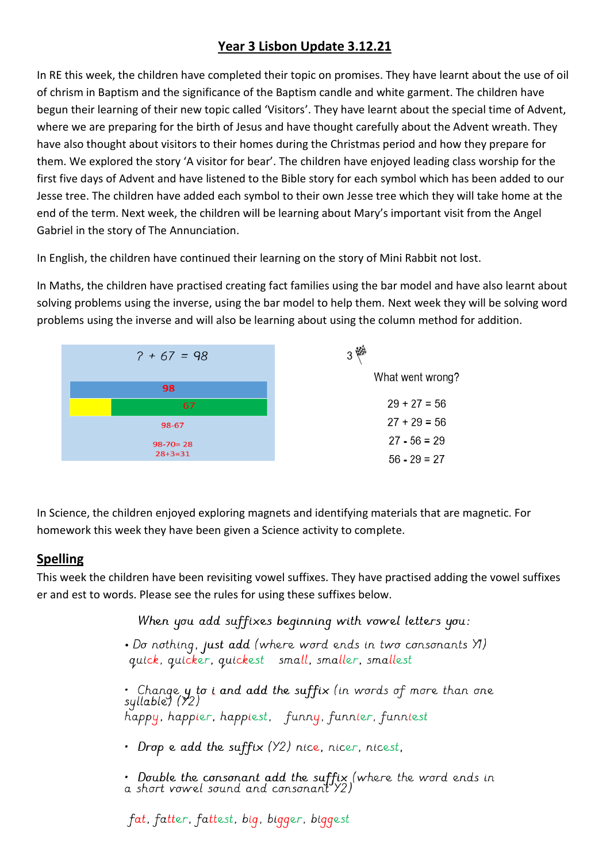# **Year 3 Lisbon Update 3.12.21**

In RE this week, the children have completed their topic on promises. They have learnt about the use of oil of chrism in Baptism and the significance of the Baptism candle and white garment. The children have begun their learning of their new topic called 'Visitors'. They have learnt about the special time of Advent, where we are preparing for the birth of Jesus and have thought carefully about the Advent wreath. They have also thought about visitors to their homes during the Christmas period and how they prepare for them. We explored the story 'A visitor for bear'. The children have enjoyed leading class worship for the first five days of Advent and have listened to the Bible story for each symbol which has been added to our Jesse tree. The children have added each symbol to their own Jesse tree which they will take home at the end of the term. Next week, the children will be learning about Mary's important visit from the Angel Gabriel in the story of The Annunciation.

In English, the children have continued their learning on the story of Mini Rabbit not lost.

In Maths, the children have practised creating fact families using the bar model and have also learnt about solving problems using the inverse, using the bar model to help them. Next week they will be solving word problems using the inverse and will also be learning about using the column method for addition.



In Science, the children enjoyed exploring magnets and identifying materials that are magnetic. For homework this week they have been given a Science activity to complete.

## **Spelling**

This week the children have been revisiting vowel suffixes. They have practised adding the vowel suffixes er and est to words. Please see the rules for using these suffixes below.

When you add suffixes beginning with vowel letters you:

. Do nothing, just add (where word ends in two consonants YI) quick, quicker, quickest small, smaller, smallest

• Change **y to i and add the suffix** (in words of more than one<br>syllable) (Y2) happy, happier, happiest, funny, funnier, funniest

· Drop e add the suffix (Y2) nice, nicer, nicest,

. Double the consonant add the suffix (where the word ends in<br>a short vowel sound and consonant Y2)

fat, fatter, fattest, big, bigger, biggest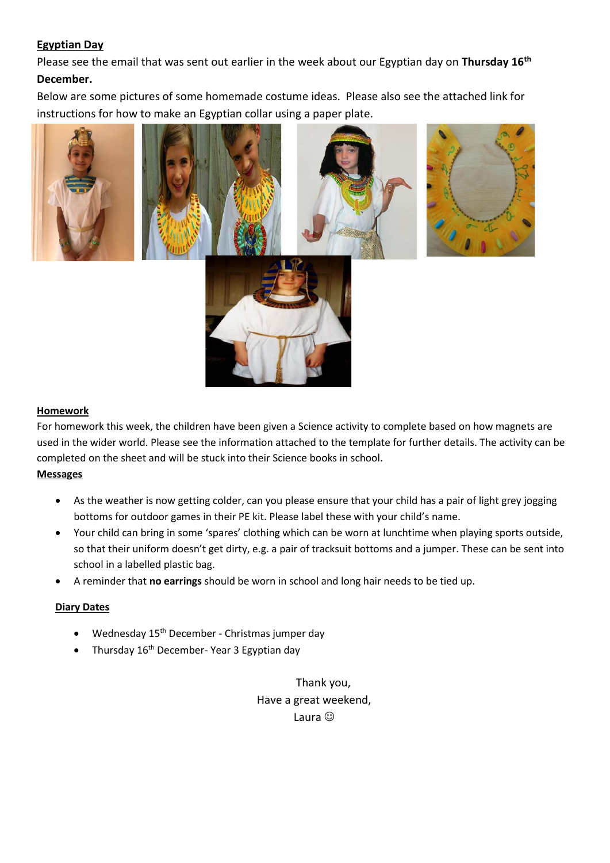### **Egyptian Day**

Please see the email that was sent out earlier in the week about our Egyptian day on **Thursday 16th December.** 

Below are some pictures of some homemade costume ideas. Please also see the attached link for instructions for how to make an Egyptian collar using a paper plate.



#### **Homework**

For homework this week, the children have been given a Science activity to complete based on how magnets are used in the wider world. Please see the information attached to the template for further details. The activity can be completed on the sheet and will be stuck into their Science books in school. **Messages**

- As the weather is now getting colder, can you please ensure that your child has a pair of light grey jogging bottoms for outdoor games in their PE kit. Please label these with your child's name.
- Your child can bring in some 'spares' clothing which can be worn at lunchtime when playing sports outside, so that their uniform doesn't get dirty, e.g. a pair of tracksuit bottoms and a jumper. These can be sent into school in a labelled plastic bag.
- A reminder that **no earrings** should be worn in school and long hair needs to be tied up.

#### **Diary Dates**

- $\bullet$  Wednesday 15<sup>th</sup> December Christmas jumper day
- Thursday  $16<sup>th</sup>$  December-Year 3 Egyptian day

Thank you, Have a great weekend, Laura $\circledcirc$